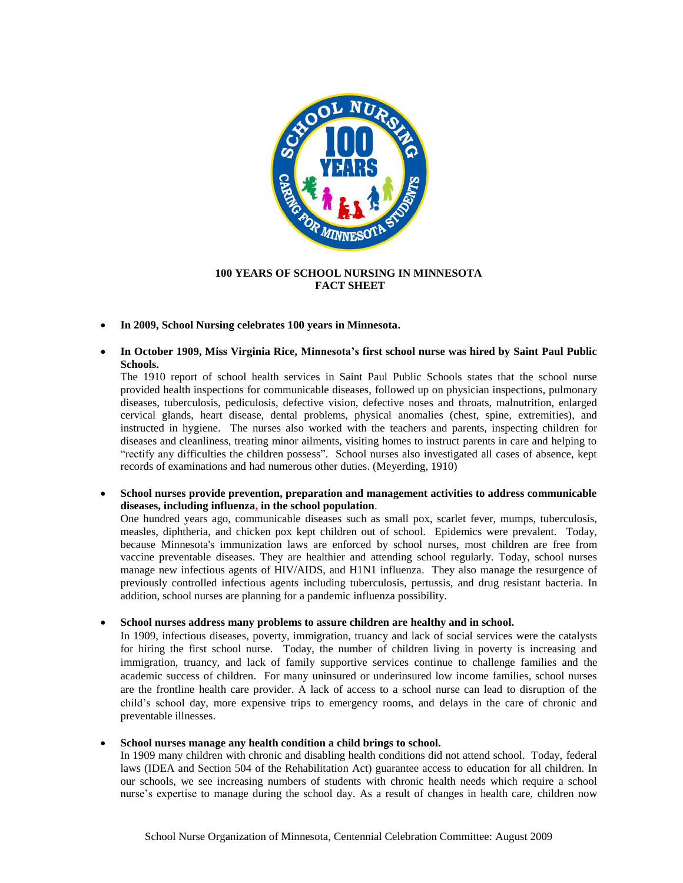

## **100 YEARS OF SCHOOL NURSING IN MINNESOTA FACT SHEET**

- **In 2009, School Nursing celebrates 100 years in Minnesota.**
- **In October 1909, Miss Virginia Rice, Minnesota's first school nurse was hired by Saint Paul Public Schools.**

The 1910 report of school health services in Saint Paul Public Schools states that the school nurse provided health inspections for communicable diseases, followed up on physician inspections, pulmonary diseases, tuberculosis, pediculosis, defective vision, defective noses and throats, malnutrition, enlarged cervical glands, heart disease, dental problems, physical anomalies (chest, spine, extremities), and instructed in hygiene. The nurses also worked with the teachers and parents, inspecting children for diseases and cleanliness, treating minor ailments, visiting homes to instruct parents in care and helping to "rectify any difficulties the children possess". School nurses also investigated all cases of absence, kept records of examinations and had numerous other duties. (Meyerding, 1910)

 **School nurses provide prevention, preparation and management activities to address communicable diseases, including influenza, in the school population**.

One hundred years ago, communicable diseases such as small pox, scarlet fever, mumps, tuberculosis, measles, diphtheria, and chicken pox kept children out of school. Epidemics were prevalent. Today, because Minnesota's immunization laws are enforced by school nurses, most children are free from vaccine preventable diseases. They are healthier and attending school regularly. Today, school nurses manage new infectious agents of HIV/AIDS, and H1N1 influenza. They also manage the resurgence of previously controlled infectious agents including tuberculosis, pertussis, and drug resistant bacteria. In addition, school nurses are planning for a pandemic influenza possibility.

**School nurses address many problems to assure children are healthy and in school.** 

In 1909, infectious diseases, poverty, immigration, truancy and lack of social services were the catalysts for hiring the first school nurse. Today, the number of children living in poverty is increasing and immigration, truancy, and lack of family supportive services continue to challenge families and the academic success of children. For many uninsured or underinsured low income families, school nurses are the frontline health care provider. A lack of access to a school nurse can lead to disruption of the child's school day, more expensive trips to emergency rooms, and delays in the care of chronic and preventable illnesses.

## **School nurses manage any health condition a child brings to school.**

In 1909 many children with chronic and disabling health conditions did not attend school. Today, federal laws (IDEA and Section 504 of the Rehabilitation Act) guarantee access to education for all children. In our schools, we see increasing numbers of students with chronic health needs which require a school nurse's expertise to manage during the school day. As a result of changes in health care, children now